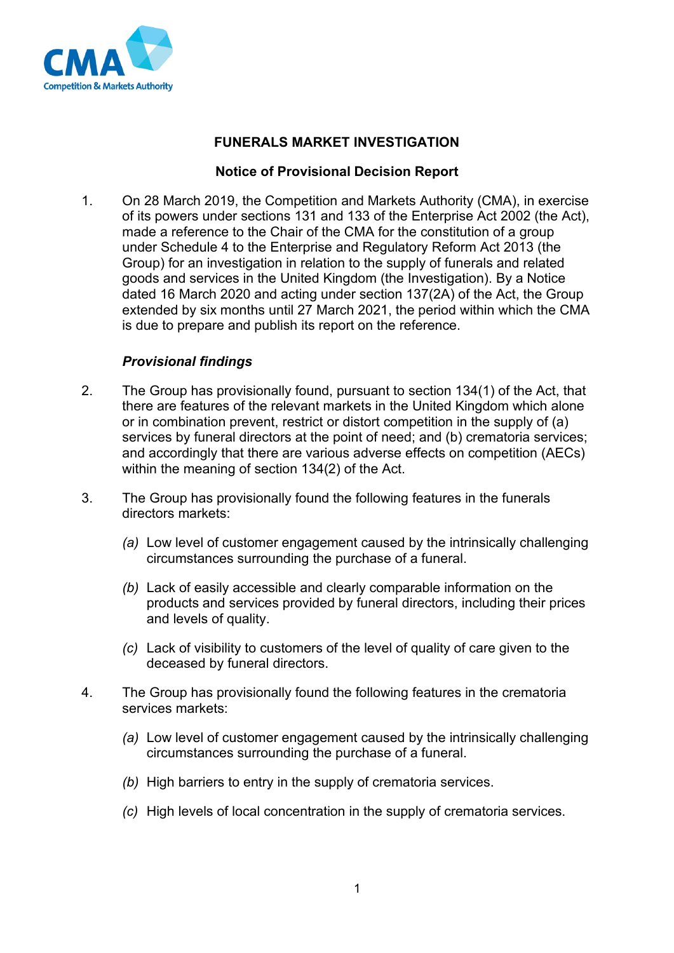

# **FUNERALS MARKET INVESTIGATION**

## **Notice of Provisional Decision Report**

1. On 28 March 2019, the Competition and Markets Authority (CMA), in exercise of its powers under sections 131 and 133 of the Enterprise Act 2002 (the Act), made a reference to the Chair of the CMA for the constitution of a group under Schedule 4 to the Enterprise and Regulatory Reform Act 2013 (the Group) for an investigation in relation to the supply of funerals and related goods and services in the United Kingdom (the Investigation). By a Notice dated 16 March 2020 and acting under section 137(2A) of the Act, the Group extended by six months until 27 March 2021, the period within which the CMA is due to prepare and publish its report on the reference.

## *Provisional findings*

- 2. The Group has provisionally found, pursuant to section 134(1) of the Act, that there are features of the relevant markets in the United Kingdom which alone or in combination prevent, restrict or distort competition in the supply of (a) services by funeral directors at the point of need; and (b) crematoria services; and accordingly that there are various adverse effects on competition (AECs) within the meaning of section 134(2) of the Act.
- 3. The Group has provisionally found the following features in the funerals directors markets:
	- *(a)* Low level of customer engagement caused by the intrinsically challenging circumstances surrounding the purchase of a funeral.
	- *(b)* Lack of easily accessible and clearly comparable information on the products and services provided by funeral directors, including their prices and levels of quality.
	- *(c)* Lack of visibility to customers of the level of quality of care given to the deceased by funeral directors.
- 4. The Group has provisionally found the following features in the crematoria services markets:
	- *(a)* Low level of customer engagement caused by the intrinsically challenging circumstances surrounding the purchase of a funeral.
	- *(b)* High barriers to entry in the supply of crematoria services.
	- *(c)* High levels of local concentration in the supply of crematoria services.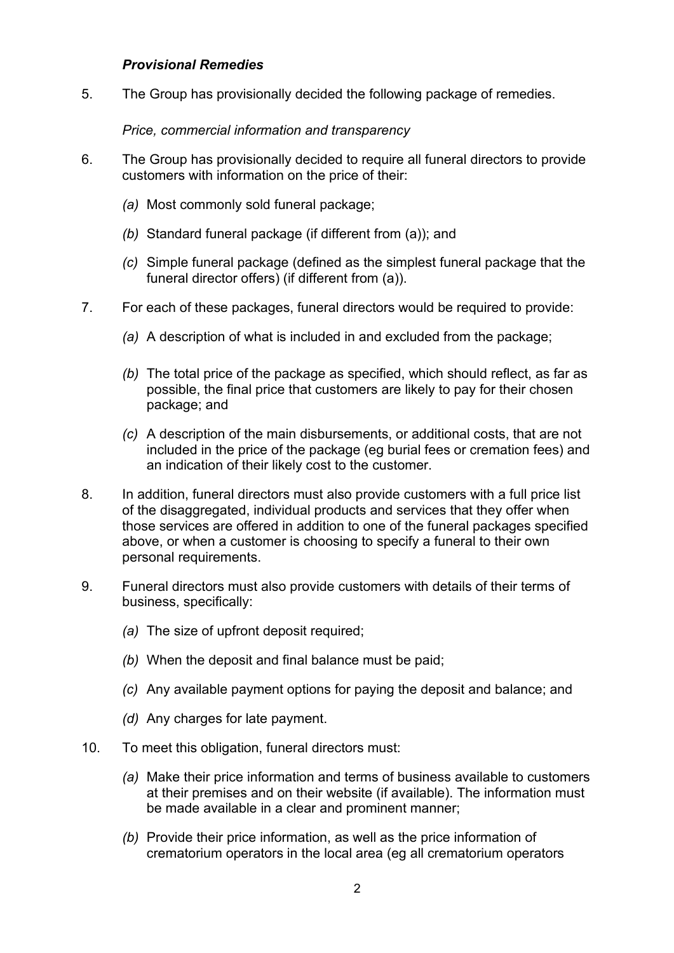#### *Provisional Remedies*

5. The Group has provisionally decided the following package of remedies.

#### *Price, commercial information and transparency*

- 6. The Group has provisionally decided to require all funeral directors to provide customers with information on the price of their:
	- *(a)* Most commonly sold funeral package;
	- *(b)* Standard funeral package (if different from (a)); and
	- *(c)* Simple funeral package (defined as the simplest funeral package that the funeral director offers) (if different from (a)).
- 7. For each of these packages, funeral directors would be required to provide:
	- *(a)* A description of what is included in and excluded from the package;
	- *(b)* The total price of the package as specified, which should reflect, as far as possible, the final price that customers are likely to pay for their chosen package; and
	- *(c)* A description of the main disbursements, or additional costs, that are not included in the price of the package (eg burial fees or cremation fees) and an indication of their likely cost to the customer.
- 8. In addition, funeral directors must also provide customers with a full price list of the disaggregated, individual products and services that they offer when those services are offered in addition to one of the funeral packages specified above, or when a customer is choosing to specify a funeral to their own personal requirements.
- 9. Funeral directors must also provide customers with details of their terms of business, specifically:
	- *(a)* The size of upfront deposit required;
	- *(b)* When the deposit and final balance must be paid;
	- *(c)* Any available payment options for paying the deposit and balance; and
	- *(d)* Any charges for late payment.
- 10. To meet this obligation, funeral directors must:
	- *(a)* Make their price information and terms of business available to customers at their premises and on their website (if available). The information must be made available in a clear and prominent manner;
	- *(b)* Provide their price information, as well as the price information of crematorium operators in the local area (eg all crematorium operators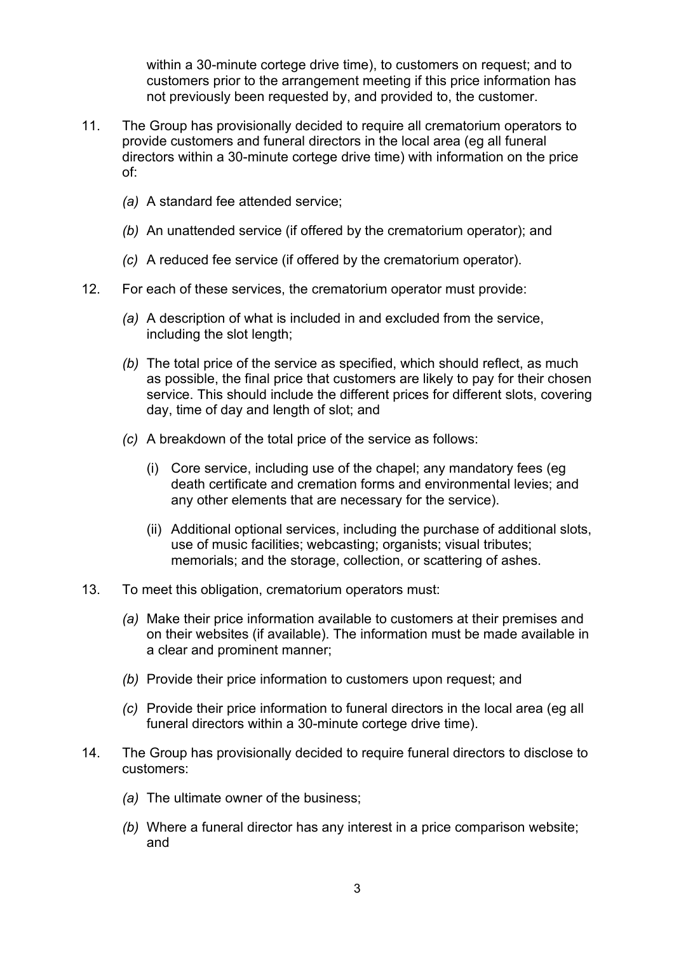within a 30-minute cortege drive time), to customers on request; and to customers prior to the arrangement meeting if this price information has not previously been requested by, and provided to, the customer.

- 11. The Group has provisionally decided to require all crematorium operators to provide customers and funeral directors in the local area (eg all funeral directors within a 30-minute cortege drive time) with information on the price of:
	- *(a)* A standard fee attended service;
	- *(b)* An unattended service (if offered by the crematorium operator); and
	- *(c)* A reduced fee service (if offered by the crematorium operator).
- 12. For each of these services, the crematorium operator must provide:
	- *(a)* A description of what is included in and excluded from the service, including the slot length;
	- *(b)* The total price of the service as specified, which should reflect, as much as possible, the final price that customers are likely to pay for their chosen service. This should include the different prices for different slots, covering day, time of day and length of slot; and
	- *(c)* A breakdown of the total price of the service as follows:
		- (i) Core service, including use of the chapel; any mandatory fees (eg death certificate and cremation forms and environmental levies; and any other elements that are necessary for the service).
		- (ii) Additional optional services, including the purchase of additional slots, use of music facilities; webcasting; organists; visual tributes; memorials; and the storage, collection, or scattering of ashes.
- 13. To meet this obligation, crematorium operators must:
	- *(a)* Make their price information available to customers at their premises and on their websites (if available). The information must be made available in a clear and prominent manner;
	- *(b)* Provide their price information to customers upon request; and
	- *(c)* Provide their price information to funeral directors in the local area (eg all funeral directors within a 30-minute cortege drive time).
- 14. The Group has provisionally decided to require funeral directors to disclose to customers:
	- *(a)* The ultimate owner of the business;
	- *(b)* Where a funeral director has any interest in a price comparison website; and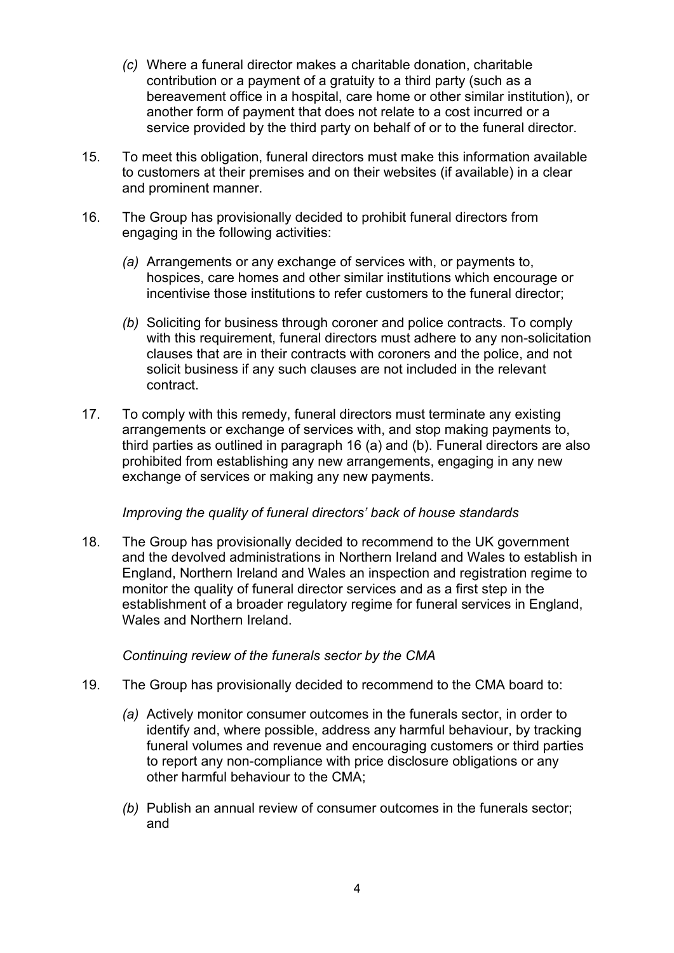- *(c)* Where a funeral director makes a charitable donation, charitable contribution or a payment of a gratuity to a third party (such as a bereavement office in a hospital, care home or other similar institution), or another form of payment that does not relate to a cost incurred or a service provided by the third party on behalf of or to the funeral director.
- 15. To meet this obligation, funeral directors must make this information available to customers at their premises and on their websites (if available) in a clear and prominent manner.
- 16. The Group has provisionally decided to prohibit funeral directors from engaging in the following activities:
	- *(a)* Arrangements or any exchange of services with, or payments to, hospices, care homes and other similar institutions which encourage or incentivise those institutions to refer customers to the funeral director;
	- *(b)* Soliciting for business through coroner and police contracts. To comply with this requirement, funeral directors must adhere to any non-solicitation clauses that are in their contracts with coroners and the police, and not solicit business if any such clauses are not included in the relevant contract.
- 17. To comply with this remedy, funeral directors must terminate any existing arrangements or exchange of services with, and stop making payments to, third parties as outlined in paragraph 16 (a) and (b). Funeral directors are also prohibited from establishing any new arrangements, engaging in any new exchange of services or making any new payments.

### *Improving the quality of funeral directors' back of house standards*

18. The Group has provisionally decided to recommend to the UK government and the devolved administrations in Northern Ireland and Wales to establish in England, Northern Ireland and Wales an inspection and registration regime to monitor the quality of funeral director services and as a first step in the establishment of a broader regulatory regime for funeral services in England, Wales and Northern Ireland.

### *Continuing review of the funerals sector by the CMA*

- 19. The Group has provisionally decided to recommend to the CMA board to:
	- *(a)* Actively monitor consumer outcomes in the funerals sector, in order to identify and, where possible, address any harmful behaviour, by tracking funeral volumes and revenue and encouraging customers or third parties to report any non-compliance with price disclosure obligations or any other harmful behaviour to the CMA;
	- *(b)* Publish an annual review of consumer outcomes in the funerals sector; and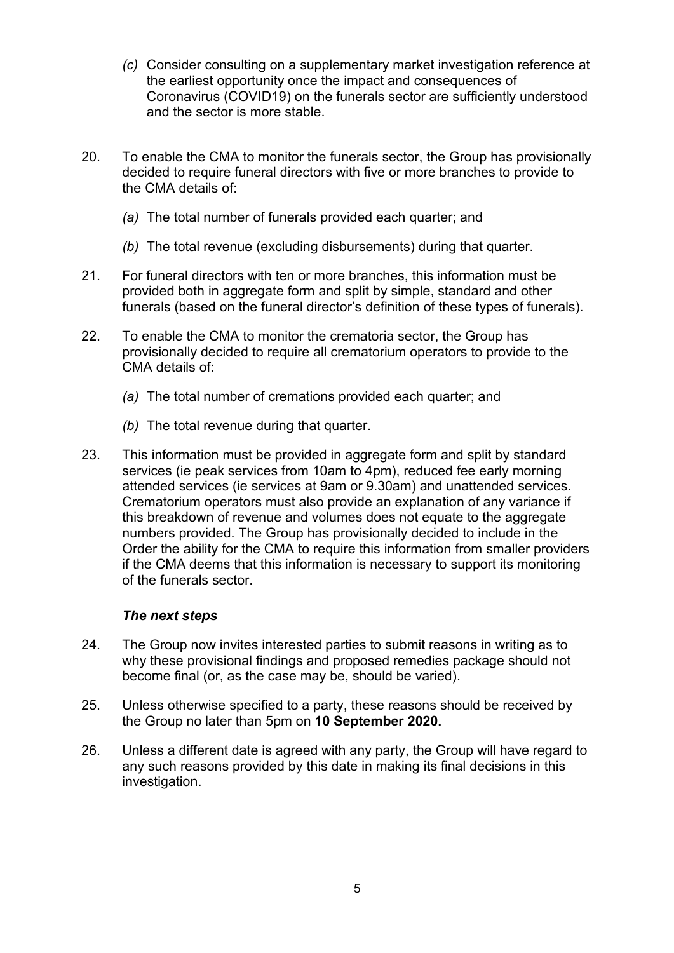- *(c)* Consider consulting on a supplementary market investigation reference at the earliest opportunity once the impact and consequences of Coronavirus (COVID19) on the funerals sector are sufficiently understood and the sector is more stable.
- 20. To enable the CMA to monitor the funerals sector, the Group has provisionally decided to require funeral directors with five or more branches to provide to the CMA details of:
	- *(a)* The total number of funerals provided each quarter; and
	- *(b)* The total revenue (excluding disbursements) during that quarter.
- 21. For funeral directors with ten or more branches, this information must be provided both in aggregate form and split by simple, standard and other funerals (based on the funeral director's definition of these types of funerals).
- 22. To enable the CMA to monitor the crematoria sector, the Group has provisionally decided to require all crematorium operators to provide to the CMA details of:
	- *(a)* The total number of cremations provided each quarter; and
	- *(b)* The total revenue during that quarter.
- 23. This information must be provided in aggregate form and split by standard services (ie peak services from 10am to 4pm), reduced fee early morning attended services (ie services at 9am or 9.30am) and unattended services. Crematorium operators must also provide an explanation of any variance if this breakdown of revenue and volumes does not equate to the aggregate numbers provided. The Group has provisionally decided to include in the Order the ability for the CMA to require this information from smaller providers if the CMA deems that this information is necessary to support its monitoring of the funerals sector.

#### *The next steps*

- 24. The Group now invites interested parties to submit reasons in writing as to why these provisional findings and proposed remedies package should not become final (or, as the case may be, should be varied).
- 25. Unless otherwise specified to a party, these reasons should be received by the Group no later than 5pm on **10 September 2020.**
- 26. Unless a different date is agreed with any party, the Group will have regard to any such reasons provided by this date in making its final decisions in this investigation.